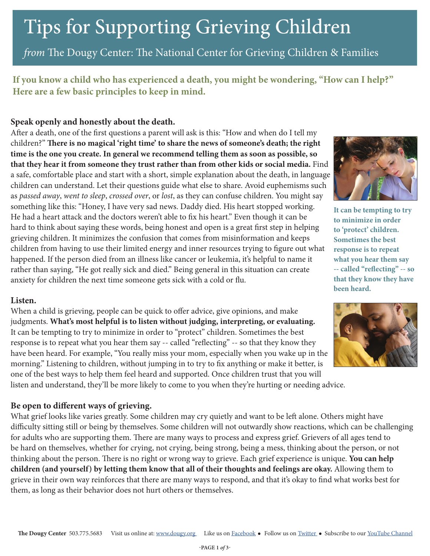### Tips for Supporting Grieving Children

*from* The Dougy Center: The National Center for Grieving Children & Families

**If you know a child who has experienced a death, you might be wondering, "How can I help?" Here are a few basic principles to keep in mind.** 

#### **Speak openly and honestly about the death.**

After a death, one of the first questions a parent will ask is this: "How and when do I tell my children?" **There is no magical 'right time' to share the news of someone's death; the right time is the one you create. In general we recommend telling them as soon as possible, so that they hear it from someone they trust rather than from other kids or social media.** Find a safe, comfortable place and start with a short, simple explanation about the death, in language children can understand. Let their questions guide what else to share. Avoid euphemisms such as *passed away*, *went to sleep*, *crossed over*, or *lost*, as they can confuse children. You might say something like this: "Honey, I have very sad news. Daddy died. His heart stopped working. He had a heart attack and the doctors weren't able to fix his heart." Even though it can be hard to think about saying these words, being honest and open is a great first step in helping grieving children. It minimizes the confusion that comes from misinformation and keeps children from having to use their limited energy and inner resources trying to figure out what happened. If the person died from an illness like cancer or leukemia, it's helpful to name it rather than saying, "He got really sick and died." Being general in this situation can create anxiety for children the next time someone gets sick with a cold or flu.

#### **Listen.**

When a child is grieving, people can be quick to offer advice, give opinions, and make judgments. **What's most helpful is to listen without judging, interpreting, or evaluating.** It can be tempting to try to minimize in order to "protect" children. Sometimes the best response is to repeat what you hear them say -- called "reflecting" -- so that they know they have been heard. For example, "You really miss your mom, especially when you wake up in the morning." Listening to children, without jumping in to try to fix anything or make it better, is one of the best ways to help them feel heard and supported. Once children trust that you will listen and understand, they'll be more likely to come to you when they're hurting or needing advice.

#### **Be open to different ways of grieving.**

What grief looks like varies greatly. Some children may cry quietly and want to be left alone. Others might have difficulty sitting still or being by themselves. Some children will not outwardly show reactions, which can be challenging for adults who are supporting them. There are many ways to process and express grief. Grievers of all ages tend to be hard on themselves, whether for crying, not crying, being strong, being a mess, thinking about the person, or not thinking about the person. There is no right or wrong way to grieve. Each grief experience is unique. **You can help children (and yourself) by letting them know that all of their thoughts and feelings are okay.** Allowing them to grieve in their own way reinforces that there are many ways to respond, and that it's okay to find what works best for them, as long as their behavior does not hurt others or themselves.



**It can be tempting to try to minimize in order to 'protect' children. Sometimes the best response is to repeat what you hear them say -- called "reflecting" -- so that they know they have been heard.** 

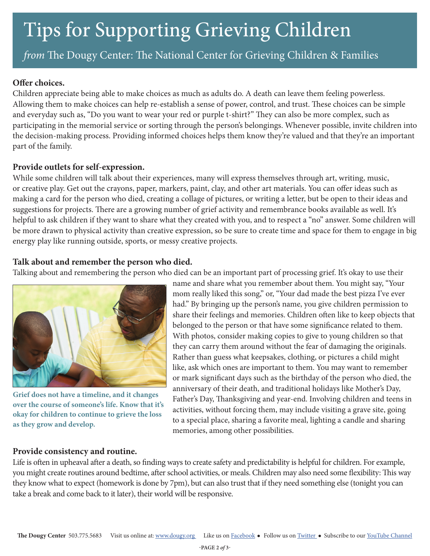# Tips for Supporting Grieving Children

*from* The Dougy Center: The National Center for Grieving Children & Families

#### **Offer choices.**

Children appreciate being able to make choices as much as adults do. A death can leave them feeling powerless. Allowing them to make choices can help re-establish a sense of power, control, and trust. These choices can be simple and everyday such as, "Do you want to wear your red or purple t-shirt?" They can also be more complex, such as participating in the memorial service or sorting through the person's belongings. Whenever possible, invite children into the decision-making process. Providing informed choices helps them know they're valued and that they're an important part of the family.

#### **Provide outlets for self-expression.**

While some children will talk about their experiences, many will express themselves through art, writing, music, or creative play. Get out the crayons, paper, markers, paint, clay, and other art materials. You can offer ideas such as making a card for the person who died, creating a collage of pictures, or writing a letter, but be open to their ideas and suggestions for projects. There are a growing number of grief activity and remembrance books available as well. It's helpful to ask children if they want to share what they created with you, and to respect a "no" answer. Some children will be more drawn to physical activity than creative expression, so be sure to create time and space for them to engage in big energy play like running outside, sports, or messy creative projects.

### **Talk about and remember the person who died.**

Talking about and remembering the person who died can be an important part of processing grief. It's okay to use their



**Grief does not have a timeline, and it changes over the course of someone's life. Know that it's okay for children to continue to grieve the loss as they grow and develop.**

name and share what you remember about them. You might say, "Your mom really liked this song," or, "Your dad made the best pizza I've ever had." By bringing up the person's name, you give children permission to share their feelings and memories. Children often like to keep objects that belonged to the person or that have some significance related to them. With photos, consider making copies to give to young children so that they can carry them around without the fear of damaging the originals. Rather than guess what keepsakes, clothing, or pictures a child might like, ask which ones are important to them. You may want to remember or mark significant days such as the birthday of the person who died, the anniversary of their death, and traditional holidays like Mother's Day, Father's Day, Thanksgiving and year-end. Involving children and teens in activities, without forcing them, may include visiting a grave site, going to a special place, sharing a favorite meal, lighting a candle and sharing memories, among other possibilities.

#### **Provide consistency and routine.**

Life is often in upheaval after a death, so finding ways to create safety and predictability is helpful for children. For example, you might create routines around bedtime, after school activities, or meals. Children may also need some flexibility: This way they know what to expect (homework is done by 7pm), but can also trust that if they need something else (tonight you can take a break and come back to it later), their world will be responsive.